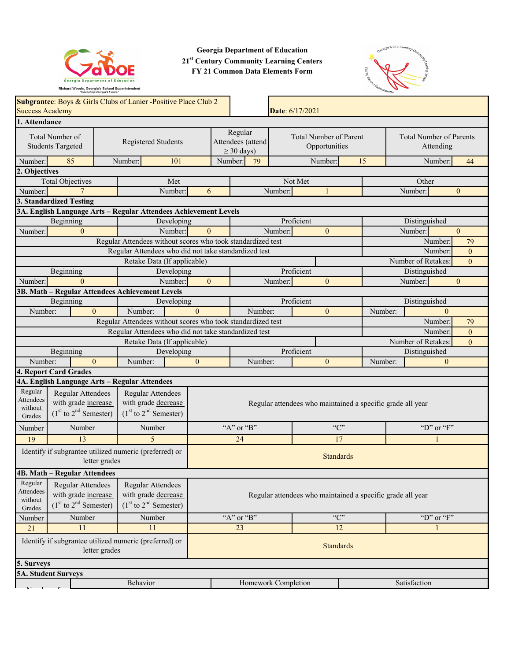

**Georgia Department of Education 21st Century Community Learning Centers FY 21 Common Data Elements Form**



|                                                                                             |                                                                                                              |         |                                                                                     |                                                                                                   |               |                                             |         |                                                            |                                      | $\sim$                    |               |                               |                  |
|---------------------------------------------------------------------------------------------|--------------------------------------------------------------------------------------------------------------|---------|-------------------------------------------------------------------------------------|---------------------------------------------------------------------------------------------------|---------------|---------------------------------------------|---------|------------------------------------------------------------|--------------------------------------|---------------------------|---------------|-------------------------------|------------------|
|                                                                                             | Subgrantee: Boys & Girls Clubs of Lanier -Positive Place Club 2<br><b>Success Academy</b><br>Date: 6/17/2021 |         |                                                                                     |                                                                                                   |               |                                             |         |                                                            |                                      |                           |               |                               |                  |
| 1. Attendance                                                                               |                                                                                                              |         |                                                                                     |                                                                                                   |               |                                             |         |                                                            |                                      |                           |               |                               |                  |
| Total Number of<br>Registered Students<br><b>Students Targeted</b>                          |                                                                                                              |         |                                                                                     | Regular<br><b>Total Number of Parent</b><br>Attendees (attend<br>Opportunities<br>$\geq$ 30 days) |               | <b>Total Number of Parents</b><br>Attending |         |                                                            |                                      |                           |               |                               |                  |
| Number:                                                                                     | 85                                                                                                           | Number: | 101                                                                                 |                                                                                                   | Number:       | 79                                          |         | Number:                                                    | 15                                   |                           |               | Number:                       | 44               |
| 2. Objectives                                                                               |                                                                                                              |         |                                                                                     |                                                                                                   |               |                                             |         |                                                            |                                      |                           |               |                               |                  |
|                                                                                             | <b>Total Objectives</b>                                                                                      |         | Met                                                                                 |                                                                                                   |               |                                             |         | Not Met                                                    |                                      |                           |               | Other                         |                  |
| Number:                                                                                     |                                                                                                              |         | Number:                                                                             | 6                                                                                                 |               |                                             | Number: | $\mathbf{1}$                                               |                                      |                           |               | Number:                       | $\boldsymbol{0}$ |
|                                                                                             | 3. Standardized Testing                                                                                      |         |                                                                                     |                                                                                                   |               |                                             |         |                                                            |                                      |                           |               |                               |                  |
|                                                                                             | 3A. English Language Arts - Regular Attendees Achievement Levels                                             |         |                                                                                     |                                                                                                   |               |                                             |         |                                                            |                                      |                           |               |                               |                  |
|                                                                                             | Beginning                                                                                                    |         | Developing                                                                          |                                                                                                   | Proficient    |                                             |         |                                                            |                                      |                           | Distinguished |                               |                  |
| Number:                                                                                     | $\mathbf{0}$                                                                                                 |         | Number:                                                                             | $\mathbf{0}$                                                                                      |               |                                             | Number: | $\mathbf{0}$                                               |                                      |                           |               | Number:                       | $\overline{0}$   |
|                                                                                             |                                                                                                              |         | Regular Attendees without scores who took standardized test                         |                                                                                                   |               |                                             |         |                                                            |                                      |                           |               | Number:                       | 79               |
|                                                                                             |                                                                                                              |         | Regular Attendees who did not take standardized test<br>Retake Data (If applicable) |                                                                                                   |               |                                             |         |                                                            |                                      |                           |               | Number:<br>Number of Retakes: | $\overline{0}$   |
|                                                                                             |                                                                                                              |         | Developing                                                                          |                                                                                                   |               |                                             |         | Proficient                                                 |                                      |                           |               | Distinguished                 | $\overline{0}$   |
| Number:                                                                                     | Beginning<br>$\Omega$                                                                                        |         | Number:                                                                             | $\mathbf{0}$                                                                                      |               |                                             | Number: | $\mathbf{0}$                                               |                                      |                           |               | Number:                       | $\boldsymbol{0}$ |
|                                                                                             | 3B. Math - Regular Attendees Achievement Levels                                                              |         |                                                                                     |                                                                                                   |               |                                             |         |                                                            |                                      |                           |               |                               |                  |
|                                                                                             | Beginning                                                                                                    |         | Developing                                                                          |                                                                                                   |               |                                             |         | Proficient                                                 |                                      |                           |               | Distinguished                 |                  |
| Number:                                                                                     | $\theta$                                                                                                     |         | Number:                                                                             | $\theta$                                                                                          |               | Number:                                     |         | $\mathbf{0}$                                               |                                      | Number:                   |               | $\mathbf{0}$                  |                  |
|                                                                                             |                                                                                                              |         | Regular Attendees without scores who took standardized test                         |                                                                                                   |               |                                             |         |                                                            |                                      |                           |               | Number:                       | 79               |
| Regular Attendees who did not take standardized test                                        |                                                                                                              |         |                                                                                     |                                                                                                   |               |                                             |         |                                                            |                                      | Number:<br>$\overline{0}$ |               |                               |                  |
|                                                                                             |                                                                                                              |         | Retake Data (If applicable)                                                         |                                                                                                   |               |                                             |         |                                                            | Number of Retakes:<br>$\overline{0}$ |                           |               |                               |                  |
|                                                                                             | Beginning                                                                                                    |         | Developing                                                                          |                                                                                                   |               |                                             |         | Proficient                                                 |                                      |                           |               | Distinguished                 |                  |
| Number:                                                                                     | $\mathbf{0}$                                                                                                 |         | Number:                                                                             | $\mathbf{0}$                                                                                      |               | Number:                                     |         | $\mathbf{0}$                                               |                                      | Number:                   |               | $\mathbf{0}$                  |                  |
|                                                                                             | 4. Report Card Grades                                                                                        |         |                                                                                     |                                                                                                   |               |                                             |         |                                                            |                                      |                           |               |                               |                  |
|                                                                                             | 4A. English Language Arts - Regular Attendees                                                                |         |                                                                                     |                                                                                                   |               |                                             |         |                                                            |                                      |                           |               |                               |                  |
| Regular<br>Attendees<br>without<br>Grades                                                   | Regular Attendees<br>with grade increase<br>$(1st$ to $2nd$ Semester)                                        |         | <b>Regular Attendees</b><br>with grade decrease<br>$(1st$ to $2nd$ Semester)        |                                                                                                   |               |                                             |         | Regular attendees who maintained a specific grade all year |                                      |                           |               |                               |                  |
| Number                                                                                      | Number                                                                                                       |         | Number                                                                              |                                                                                                   | "A" or "B"    |                                             |         | C                                                          |                                      |                           |               | "D" or " $F$ "                |                  |
| 19                                                                                          | 13                                                                                                           |         | $\overline{5}$                                                                      |                                                                                                   | 24<br>17<br>1 |                                             |         |                                                            |                                      |                           |               |                               |                  |
| Identify if subgrantee utilized numeric (preferred) or<br><b>Standards</b><br>letter grades |                                                                                                              |         |                                                                                     |                                                                                                   |               |                                             |         |                                                            |                                      |                           |               |                               |                  |
|                                                                                             | 4B. Math - Regular Attendees                                                                                 |         |                                                                                     |                                                                                                   |               |                                             |         |                                                            |                                      |                           |               |                               |                  |
| Regular<br>Attendees<br>without<br>Grades                                                   | Regular Attendees<br>with grade increase<br>$(1st$ to $2nd$ Semester)                                        |         | Regular Attendees<br>with grade decrease<br>$(1st$ to $2nd$ Semester)               | Regular attendees who maintained a specific grade all year                                        |               |                                             |         |                                                            |                                      |                           |               |                               |                  |
| Number                                                                                      | Number                                                                                                       |         | Number                                                                              |                                                                                                   | "A" or "B"    |                                             |         | C                                                          |                                      |                           |               | "D" or " $F$ "                |                  |
| 21                                                                                          | 11                                                                                                           |         | 11                                                                                  |                                                                                                   |               | 23                                          |         | 12                                                         |                                      |                           |               | 1                             |                  |
|                                                                                             | Identify if subgrantee utilized numeric (preferred) or<br><b>Standards</b><br>letter grades                  |         |                                                                                     |                                                                                                   |               |                                             |         |                                                            |                                      |                           |               |                               |                  |
|                                                                                             | 5. Surveys                                                                                                   |         |                                                                                     |                                                                                                   |               |                                             |         |                                                            |                                      |                           |               |                               |                  |
|                                                                                             | <b>5A. Student Surveys</b>                                                                                   |         |                                                                                     |                                                                                                   |               |                                             |         |                                                            |                                      |                           |               |                               |                  |
|                                                                                             |                                                                                                              |         | Behavior                                                                            |                                                                                                   |               | Homework Completion                         |         |                                                            |                                      |                           |               | Satisfaction                  |                  |
|                                                                                             |                                                                                                              |         |                                                                                     |                                                                                                   |               |                                             |         |                                                            |                                      |                           |               |                               |                  |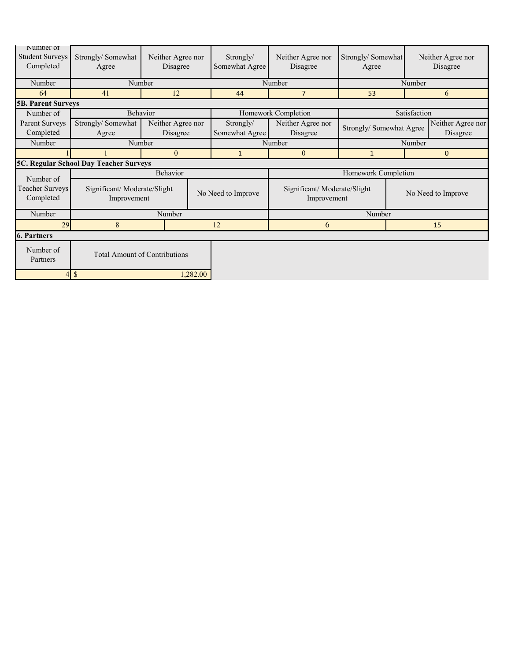| Number of<br><b>Student Surveys</b><br>Completed | Strongly/Somewhat<br>Agree                 | Neither Agree nor<br>Disagree |          | Strongly/<br>Somewhat Agree | Neither Agree nor<br>Disagree              | Strongly/Somewhat<br>Agree |                     | Neither Agree nor<br>Disagree |  |
|--------------------------------------------------|--------------------------------------------|-------------------------------|----------|-----------------------------|--------------------------------------------|----------------------------|---------------------|-------------------------------|--|
| Number                                           | Number                                     |                               |          |                             | Number                                     |                            | Number              |                               |  |
| 64                                               | 41                                         | 12                            |          | 44                          | $\overline{7}$                             | 53                         |                     | 6                             |  |
| <b>5B. Parent Surveys</b>                        |                                            |                               |          |                             |                                            |                            |                     |                               |  |
| Number of                                        | Behavior                                   |                               |          |                             | Homework Completion                        |                            | Satisfaction        |                               |  |
| Parent Surveys                                   | Strongly/Somewhat                          | Neither Agree nor             |          | Strongly/                   | Neither Agree nor                          | Strongly/ Somewhat Agree   |                     | Neither Agree nor             |  |
| Completed                                        | Agree                                      | Disagree                      |          | Somewhat Agree              | Disagree                                   |                            |                     | Disagree                      |  |
| Number                                           | Number                                     |                               |          |                             | Number                                     | Number                     |                     |                               |  |
|                                                  |                                            | $\theta$                      |          | $\mathbf{1}$                | $\overline{0}$                             | $\mathbf{1}$               |                     | $\mathbf 0$                   |  |
| 5C. Regular School Day Teacher Surveys           |                                            |                               |          |                             |                                            |                            |                     |                               |  |
| Number of                                        | Behavior                                   |                               |          |                             |                                            |                            | Homework Completion |                               |  |
| Teacher Surveys<br>Completed                     | Significant/Moderate/Slight<br>Improvement |                               |          | No Need to Improve          | Significant/Moderate/Slight<br>Improvement |                            |                     | No Need to Improve            |  |
| Number                                           |                                            | Number                        |          |                             |                                            | Number                     |                     |                               |  |
| 29                                               | 8                                          |                               |          | 12                          | 6<br>15                                    |                            |                     |                               |  |
| <b>6. Partners</b>                               |                                            |                               |          |                             |                                            |                            |                     |                               |  |
| Number of<br>Partners                            | <b>Total Amount of Contributions</b>       |                               |          |                             |                                            |                            |                     |                               |  |
| 4                                                | $\mathcal{S}$                              |                               | 1,282.00 |                             |                                            |                            |                     |                               |  |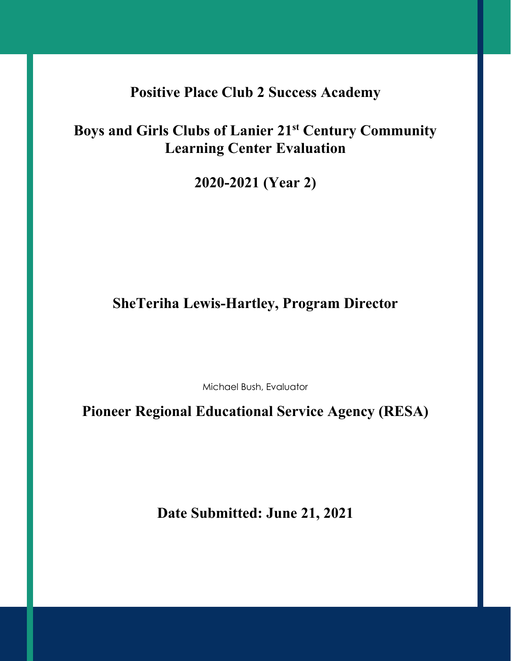# **Positive Place Club 2 Success Academy**

# **Boys and Girls Clubs of Lanier 21st Century Community Learning Center Evaluation**

**2020-2021 (Year 2)**

# **SheTeriha Lewis-Hartley, Program Director**

Michael Bush, Evaluator

**Pioneer Regional Educational Service Agency (RESA)**

**Date Submitted: June 21, 2021**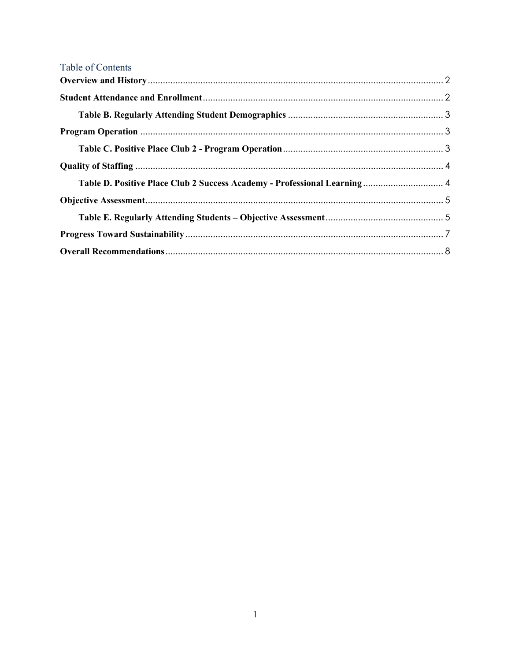| Table of Contents                                                         |  |
|---------------------------------------------------------------------------|--|
|                                                                           |  |
|                                                                           |  |
|                                                                           |  |
|                                                                           |  |
|                                                                           |  |
|                                                                           |  |
| Table D. Positive Place Club 2 Success Academy - Professional Learning  4 |  |
|                                                                           |  |
|                                                                           |  |
|                                                                           |  |
|                                                                           |  |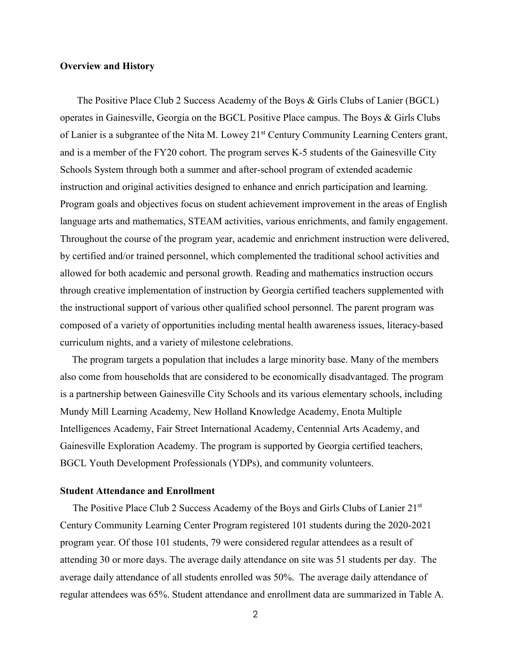#### <span id="page-4-0"></span>**Overview and History**

 The Positive Place Club 2 Success Academy of the Boys & Girls Clubs of Lanier (BGCL) operates in Gainesville, Georgia on the BGCL Positive Place campus. The Boys & Girls Clubs of Lanier is a subgrantee of the Nita M. Lowey 21<sup>st</sup> Century Community Learning Centers grant, and is a member of the FY20 cohort. The program serves K-5 students of the Gainesville City Schools System through both a summer and after-school program of extended academic instruction and original activities designed to enhance and enrich participation and learning. Program goals and objectives focus on student achievement improvement in the areas of English language arts and mathematics, STEAM activities, various enrichments, and family engagement. Throughout the course of the program year, academic and enrichment instruction were delivered, by certified and/or trained personnel, which complemented the traditional school activities and allowed for both academic and personal growth. Reading and mathematics instruction occurs through creative implementation of instruction by Georgia certified teachers supplemented with the instructional support of various other qualified school personnel. The parent program was composed of a variety of opportunities including mental health awareness issues, literacy-based curriculum nights, and a variety of milestone celebrations.

The program targets a population that includes a large minority base. Many of the members also come from households that are considered to be economically disadvantaged. The program is a partnership between Gainesville City Schools and its various elementary schools, including Mundy Mill Learning Academy, New Holland Knowledge Academy, Enota Multiple Intelligences Academy, Fair Street International Academy, Centennial Arts Academy, and Gainesville Exploration Academy. The program is supported by Georgia certified teachers, BGCL Youth Development Professionals (YDPs), and community volunteers.

#### <span id="page-4-1"></span>**Student Attendance and Enrollment**

The Positive Place Club 2 Success Academy of the Boys and Girls Clubs of Lanier 21<sup>st</sup> Century Community Learning Center Program registered 101 students during the 2020-2021 program year. Of those 101 students, 79 were considered regular attendees as a result of attending 30 or more days. The average daily attendance on site was 51 students per day. The average daily attendance of all students enrolled was 50%. The average daily attendance of regular attendees was 65%. Student attendance and enrollment data are summarized in Table A.

<sup>2</sup>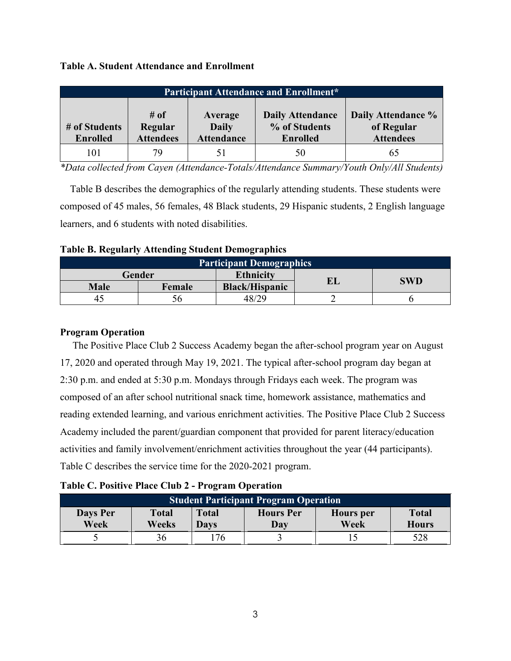#### **Table A. Student Attendance and Enrollment**

| <b>Participant Attendance and Enrollment*</b> |                                        |                                              |                                                             |                                                      |  |  |  |
|-----------------------------------------------|----------------------------------------|----------------------------------------------|-------------------------------------------------------------|------------------------------------------------------|--|--|--|
| # of Students<br><b>Enrolled</b>              | $\#$ of<br>Regular<br><b>Attendees</b> | Average<br><b>Daily</b><br><b>Attendance</b> | <b>Daily Attendance</b><br>% of Students<br><b>Enrolled</b> | Daily Attendance %<br>of Regular<br><b>Attendees</b> |  |  |  |
| 101                                           | 79                                     |                                              | 50                                                          |                                                      |  |  |  |

*\*Data collected from Cayen (Attendance-Totals/Attendance Summary/Youth Only/All Students)*

 Table B describes the demographics of the regularly attending students. These students were composed of 45 males, 56 females, 48 Black students, 29 Hispanic students, 2 English language learners, and 6 students with noted disabilities.

<span id="page-5-0"></span>

|  |  |  |  |  | <b>Table B. Regularly Attending Student Demographics</b> |
|--|--|--|--|--|----------------------------------------------------------|
|--|--|--|--|--|----------------------------------------------------------|

| <b>Participant Demographics</b> |        |                       |            |  |  |  |  |  |
|---------------------------------|--------|-----------------------|------------|--|--|--|--|--|
|                                 | Gender | EL                    | <b>SWD</b> |  |  |  |  |  |
| <b>Male</b>                     | Female | <b>Black/Hispanic</b> |            |  |  |  |  |  |
| 42                              |        | 48/29                 |            |  |  |  |  |  |

#### <span id="page-5-1"></span>**Program Operation**

 The Positive Place Club 2 Success Academy began the after-school program year on August 17, 2020 and operated through May 19, 2021. The typical after-school program day began at 2:30 p.m. and ended at 5:30 p.m. Mondays through Fridays each week. The program was composed of an after school nutritional snack time, homework assistance, mathematics and reading extended learning, and various enrichment activities. The Positive Place Club 2 Success Academy included the parent/guardian component that provided for parent literacy/education activities and family involvement/enrichment activities throughout the year (44 participants). Table C describes the service time for the 2020-2021 program.

#### <span id="page-5-2"></span>**Table C. Positive Place Club 2 - Program Operation**

| <b>Student Participant Program Operation</b> |                       |                      |                         |                   |                              |  |  |  |
|----------------------------------------------|-----------------------|----------------------|-------------------------|-------------------|------------------------------|--|--|--|
| <b>Days Per</b><br>Week                      | <b>Total</b><br>Weeks | <b>Total</b><br>Davs | <b>Hours Per</b><br>Day | Hours per<br>Week | <b>Total</b><br><b>Hours</b> |  |  |  |
|                                              |                       | 76                   |                         |                   | 528                          |  |  |  |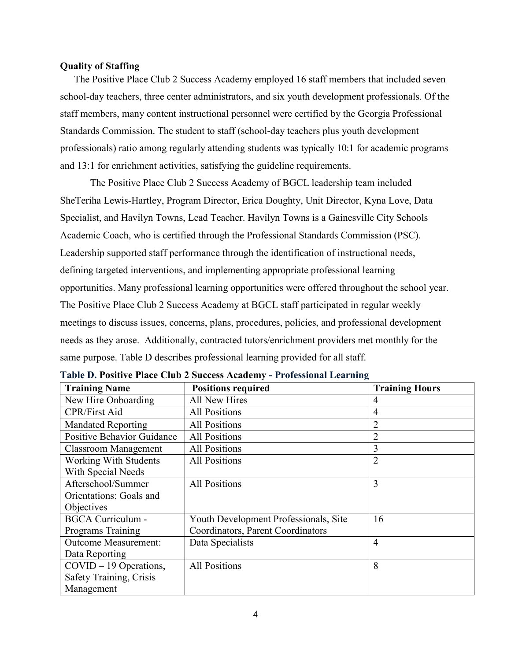#### <span id="page-6-0"></span>**Quality of Staffing**

 The Positive Place Club 2 Success Academy employed 16 staff members that included seven school-day teachers, three center administrators, and six youth development professionals. Of the staff members, many content instructional personnel were certified by the Georgia Professional Standards Commission. The student to staff (school-day teachers plus youth development professionals) ratio among regularly attending students was typically 10:1 for academic programs and 13:1 for enrichment activities, satisfying the guideline requirements.

The Positive Place Club 2 Success Academy of BGCL leadership team included SheTeriha Lewis-Hartley, Program Director, Erica Doughty, Unit Director, Kyna Love, Data Specialist, and Havilyn Towns, Lead Teacher. Havilyn Towns is a Gainesville City Schools Academic Coach, who is certified through the Professional Standards Commission (PSC). Leadership supported staff performance through the identification of instructional needs, defining targeted interventions, and implementing appropriate professional learning opportunities. Many professional learning opportunities were offered throughout the school year. The Positive Place Club 2 Success Academy at BGCL staff participated in regular weekly meetings to discuss issues, concerns, plans, procedures, policies, and professional development needs as they arose. Additionally, contracted tutors/enrichment providers met monthly for the same purpose. Table D describes professional learning provided for all staff.

| <b>Training Name</b>              | <b>Positions required</b>             | <b>Training Hours</b> |
|-----------------------------------|---------------------------------------|-----------------------|
| New Hire Onboarding               | All New Hires                         | 4                     |
| <b>CPR/First Aid</b>              | <b>All Positions</b>                  | $\overline{4}$        |
| <b>Mandated Reporting</b>         | <b>All Positions</b>                  | 2                     |
| <b>Positive Behavior Guidance</b> | <b>All Positions</b>                  | 2                     |
| <b>Classroom Management</b>       | <b>All Positions</b>                  | 3                     |
| <b>Working With Students</b>      | <b>All Positions</b>                  | $\overline{2}$        |
| With Special Needs                |                                       |                       |
| Afterschool/Summer                | <b>All Positions</b>                  | 3                     |
| Orientations: Goals and           |                                       |                       |
| Objectives                        |                                       |                       |
| <b>BGCA Curriculum -</b>          | Youth Development Professionals, Site | 16                    |
| Programs Training                 | Coordinators, Parent Coordinators     |                       |
| <b>Outcome Measurement:</b>       | Data Specialists                      | $\overline{4}$        |
| Data Reporting                    |                                       |                       |
| $COVID - 19$ Operations,          | <b>All Positions</b>                  | 8                     |
| Safety Training, Crisis           |                                       |                       |
| Management                        |                                       |                       |

<span id="page-6-1"></span>**Table D. Positive Place Club 2 Success Academy - Professional Learning**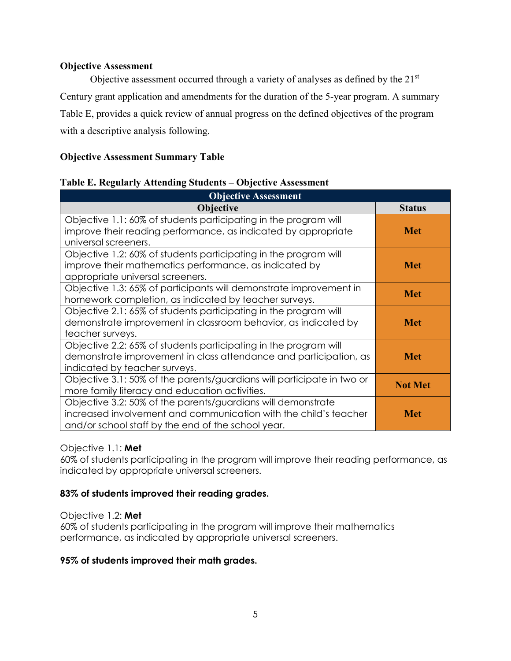#### <span id="page-7-0"></span>**Objective Assessment**

Objective assessment occurred through a variety of analyses as defined by the 21<sup>st</sup> Century grant application and amendments for the duration of the 5-year program. A summary Table E, provides a quick review of annual progress on the defined objectives of the program with a descriptive analysis following.

# **Objective Assessment Summary Table**

#### <span id="page-7-1"></span>**Table E. Regularly Attending Students – Objective Assessment**

| <b>Objective Assessment</b>                                            |                |
|------------------------------------------------------------------------|----------------|
| <b>Objective</b>                                                       | <b>Status</b>  |
| Objective 1.1: 60% of students participating in the program will       |                |
| improve their reading performance, as indicated by appropriate         | <b>Met</b>     |
| universal screeners.                                                   |                |
| Objective 1.2: 60% of students participating in the program will       |                |
| improve their mathematics performance, as indicated by                 | Met            |
| appropriate universal screeners.                                       |                |
| Objective 1.3: 65% of participants will demonstrate improvement in     | <b>Met</b>     |
| homework completion, as indicated by teacher surveys.                  |                |
| Objective 2.1: 65% of students participating in the program will       |                |
| demonstrate improvement in classroom behavior, as indicated by         | <b>Met</b>     |
| teacher surveys.                                                       |                |
| Objective 2.2: 65% of students participating in the program will       |                |
| demonstrate improvement in class attendance and participation, as      | <b>Met</b>     |
| indicated by teacher surveys.                                          |                |
| Objective 3.1: 50% of the parents/guardians will participate in two or |                |
| more family literacy and education activities.                         | <b>Not Met</b> |
| Objective 3.2: 50% of the parents/guardians will demonstrate           |                |
| increased involvement and communication with the child's teacher       | Met            |
| and/or school staff by the end of the school year.                     |                |

# Objective 1.1: **Met**

60% of students participating in the program will improve their reading performance, as indicated by appropriate universal screeners.

# **83% of students improved their reading grades.**

#### Objective 1.2: **Met**

60% of students participating in the program will improve their mathematics performance, as indicated by appropriate universal screeners.

# **95% of students improved their math grades.**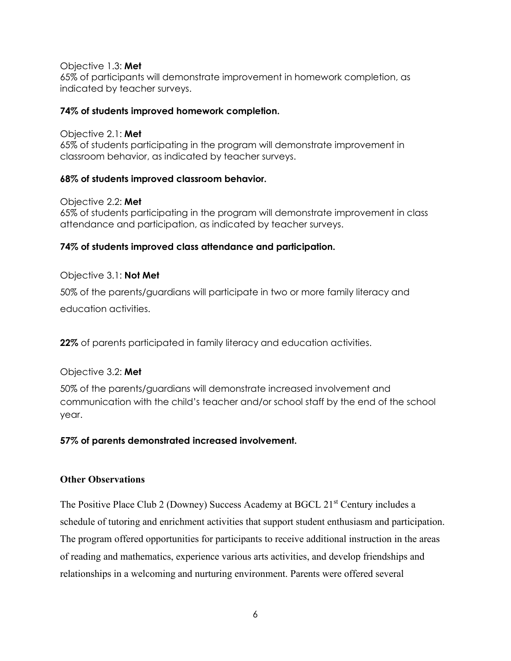Objective 1.3: **Met**

65% of participants will demonstrate improvement in homework completion, as indicated by teacher surveys.

#### **74% of students improved homework completion.**

Objective 2.1: **Met** 65% of students participating in the program will demonstrate improvement in classroom behavior, as indicated by teacher surveys.

# **68% of students improved classroom behavior.**

Objective 2.2: **Met** 65% of students participating in the program will demonstrate improvement in class attendance and participation, as indicated by teacher surveys.

# **74% of students improved class attendance and participation.**

# Objective 3.1: **Not Met**

50% of the parents/guardians will participate in two or more family literacy and education activities.

**22%** of parents participated in family literacy and education activities.

# Objective 3.2: **Met**

50% of the parents/guardians will demonstrate increased involvement and communication with the child's teacher and/or school staff by the end of the school year.

# **57% of parents demonstrated increased involvement.**

# **Other Observations**

The Positive Place Club 2 (Downey) Success Academy at BGCL 21<sup>st</sup> Century includes a schedule of tutoring and enrichment activities that support student enthusiasm and participation. The program offered opportunities for participants to receive additional instruction in the areas of reading and mathematics, experience various arts activities, and develop friendships and relationships in a welcoming and nurturing environment. Parents were offered several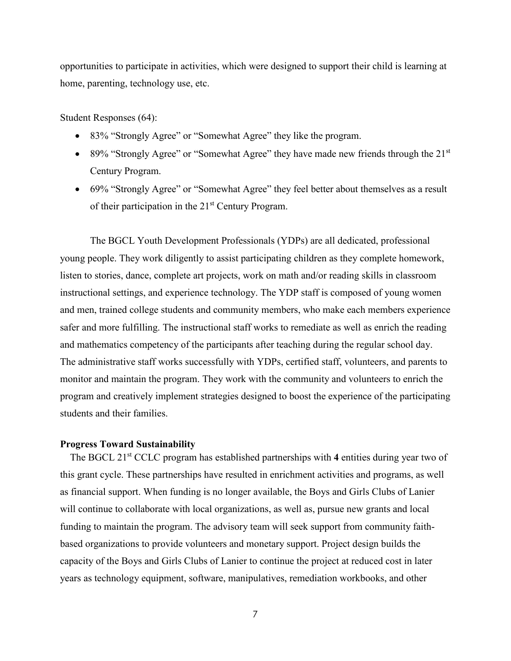opportunities to participate in activities, which were designed to support their child is learning at home, parenting, technology use, etc.

Student Responses (64):

- 83% "Strongly Agree" or "Somewhat Agree" they like the program.
- 89% "Strongly Agree" or "Somewhat Agree" they have made new friends through the  $21<sup>st</sup>$ Century Program.
- 69% "Strongly Agree" or "Somewhat Agree" they feel better about themselves as a result of their participation in the 21<sup>st</sup> Century Program.

The BGCL Youth Development Professionals (YDPs) are all dedicated, professional young people. They work diligently to assist participating children as they complete homework, listen to stories, dance, complete art projects, work on math and/or reading skills in classroom instructional settings, and experience technology. The YDP staff is composed of young women and men, trained college students and community members, who make each members experience safer and more fulfilling. The instructional staff works to remediate as well as enrich the reading and mathematics competency of the participants after teaching during the regular school day. The administrative staff works successfully with YDPs, certified staff, volunteers, and parents to monitor and maintain the program. They work with the community and volunteers to enrich the program and creatively implement strategies designed to boost the experience of the participating students and their families.

#### <span id="page-9-0"></span>**Progress Toward Sustainability**

The BGCL 21<sup>st</sup> CCLC program has established partnerships with 4 entities during year two of this grant cycle. These partnerships have resulted in enrichment activities and programs, as well as financial support. When funding is no longer available, the Boys and Girls Clubs of Lanier will continue to collaborate with local organizations, as well as, pursue new grants and local funding to maintain the program. The advisory team will seek support from community faithbased organizations to provide volunteers and monetary support. Project design builds the capacity of the Boys and Girls Clubs of Lanier to continue the project at reduced cost in later years as technology equipment, software, manipulatives, remediation workbooks, and other